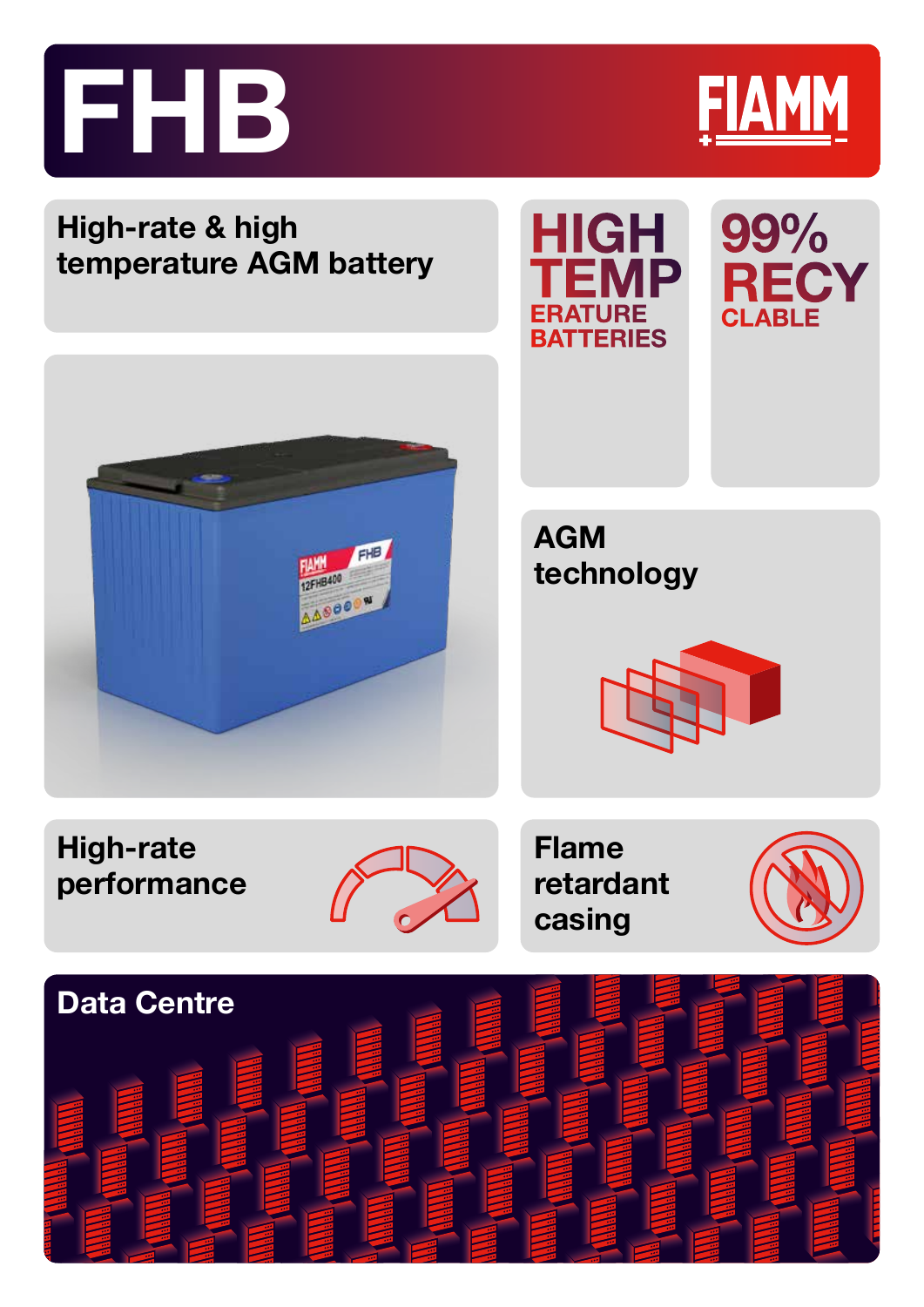



AGM